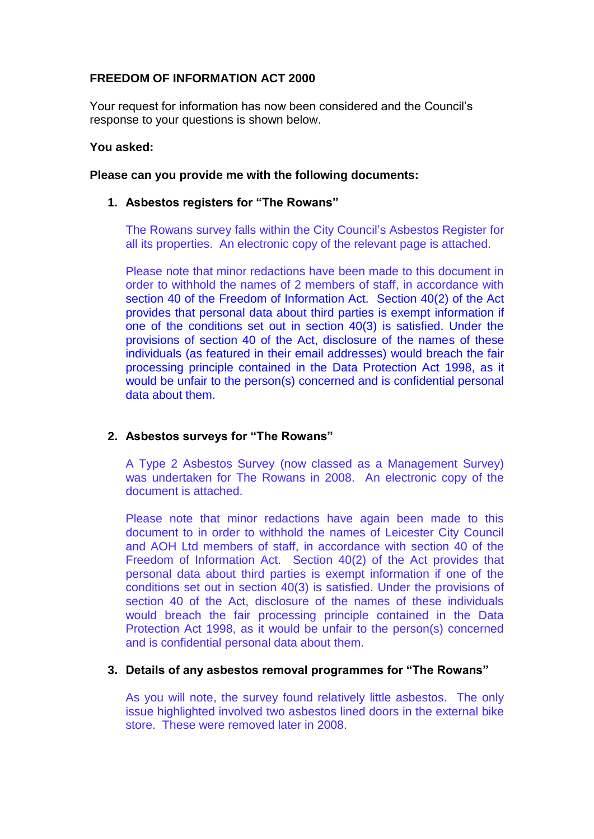# **FREEDOM OF INFORMATION ACT 2000**

Your request for information has now been considered and the Council's response to your questions is shown below.

## **You asked:**

## **Please can you provide me with the following documents:**

## **1. Asbestos registers for "The Rowans"**

The Rowans survey falls within the City Council's Asbestos Register for all its properties. An electronic copy of the relevant page is attached.

Please note that minor redactions have been made to this document in order to withhold the names of 2 members of staff, in accordance with section 40 of the Freedom of Information Act. Section 40(2) of the Act provides that personal data about third parties is exempt information if one of the conditions set out in section 40(3) is satisfied. Under the provisions of section 40 of the Act, disclosure of the names of these individuals (as featured in their email addresses) would breach the fair processing principle contained in the Data Protection Act 1998, as it would be unfair to the person(s) concerned and is confidential personal data about them.

## **2. Asbestos surveys for "The Rowans"**

A Type 2 Asbestos Survey (now classed as a Management Survey) was undertaken for The Rowans in 2008. An electronic copy of the document is attached.

Please note that minor redactions have again been made to this document to in order to withhold the names of Leicester City Council and AOH Ltd members of staff, in accordance with section 40 of the Freedom of Information Act. Section 40(2) of the Act provides that personal data about third parties is exempt information if one of the conditions set out in section 40(3) is satisfied. Under the provisions of section 40 of the Act, disclosure of the names of these individuals would breach the fair processing principle contained in the Data Protection Act 1998, as it would be unfair to the person(s) concerned and is confidential personal data about them.

#### **3. Details of any asbestos removal programmes for "The Rowans"**

As you will note, the survey found relatively little asbestos. The only issue highlighted involved two asbestos lined doors in the external bike store. These were removed later in 2008.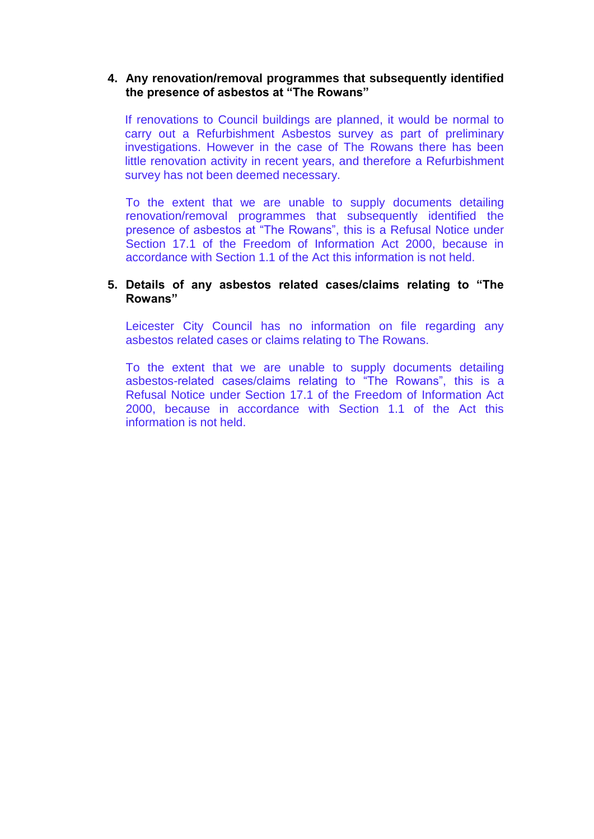## **4. Any renovation/removal programmes that subsequently identified the presence of asbestos at "The Rowans"**

If renovations to Council buildings are planned, it would be normal to carry out a Refurbishment Asbestos survey as part of preliminary investigations. However in the case of The Rowans there has been little renovation activity in recent years, and therefore a Refurbishment survey has not been deemed necessary.

To the extent that we are unable to supply documents detailing renovation/removal programmes that subsequently identified the presence of asbestos at "The Rowans", this is a Refusal Notice under Section 17.1 of the Freedom of Information Act 2000, because in accordance with Section 1.1 of the Act this information is not held.

## **5. Details of any asbestos related cases/claims relating to "The Rowans"**

Leicester City Council has no information on file regarding any asbestos related cases or claims relating to The Rowans.

To the extent that we are unable to supply documents detailing asbestos-related cases/claims relating to "The Rowans", this is a Refusal Notice under Section 17.1 of the Freedom of Information Act 2000, because in accordance with Section 1.1 of the Act this information is not held.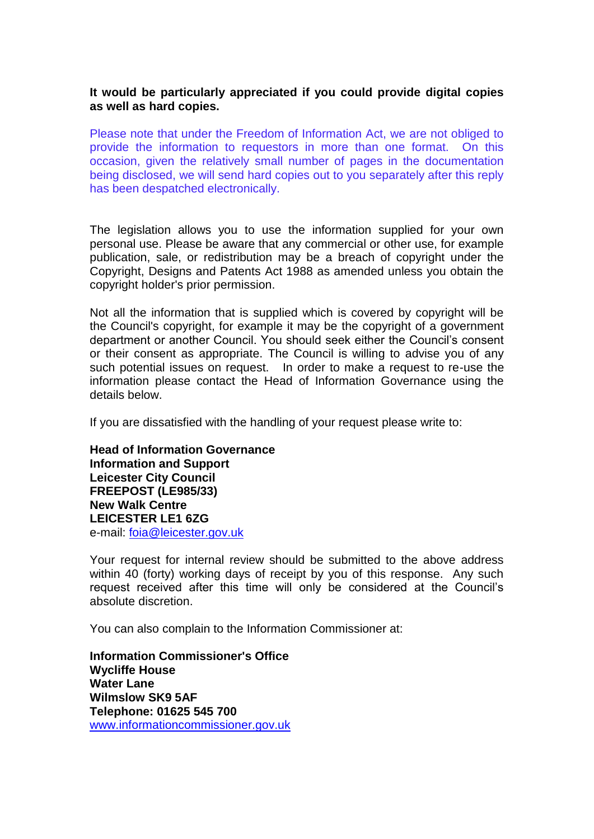## **It would be particularly appreciated if you could provide digital copies as well as hard copies.**

Please note that under the Freedom of Information Act, we are not obliged to provide the information to requestors in more than one format. On this occasion, given the relatively small number of pages in the documentation being disclosed, we will send hard copies out to you separately after this reply has been despatched electronically.

The legislation allows you to use the information supplied for your own personal use. Please be aware that any commercial or other use, for example publication, sale, or redistribution may be a breach of copyright under the Copyright, Designs and Patents Act 1988 as amended unless you obtain the copyright holder's prior permission.

Not all the information that is supplied which is covered by copyright will be the Council's copyright, for example it may be the copyright of a government department or another Council. You should seek either the Council's consent or their consent as appropriate. The Council is willing to advise you of any such potential issues on request. In order to make a request to re-use the information please contact the Head of Information Governance using the details below.

If you are dissatisfied with the handling of your request please write to:

**Head of Information Governance Information and Support Leicester City Council FREEPOST (LE985/33) New Walk Centre LEICESTER LE1 6ZG**  e-mail: [foia@leicester.gov.uk](mailto:foia@leicester.gov.uk) 

Your request for internal review should be submitted to the above address within 40 (forty) working days of receipt by you of this response. Any such request received after this time will only be considered at the Council's absolute discretion.

You can also complain to the Information Commissioner at:

**Information Commissioner's Office Wycliffe House Water Lane Wilmslow SK9 5AF Telephone: 01625 545 700**  www.informationcommissioner.gov.uk